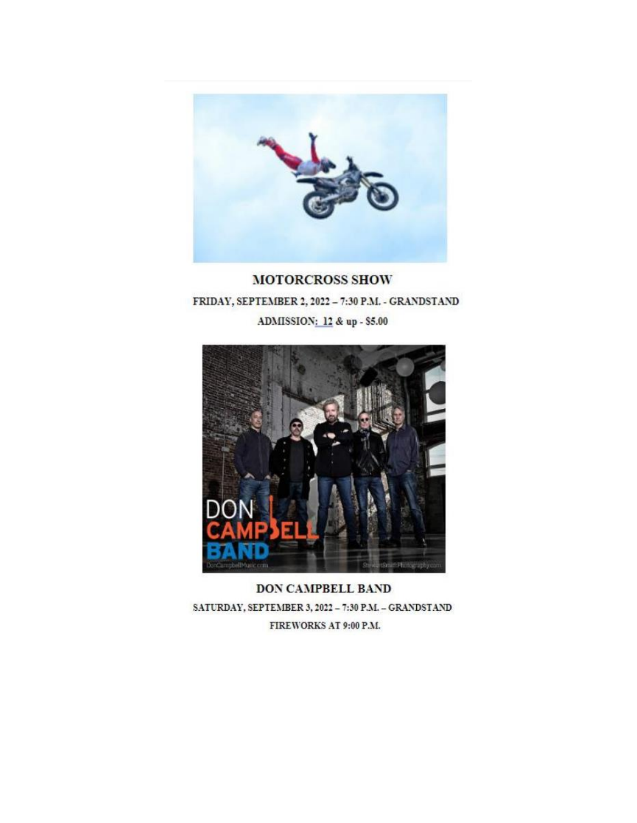

**MOTORCROSS SHOW** FRIDAY, SEPTEMBER 2, 2022 - 7:30 P.M. - GRANDSTAND ADMISSION: 12 & up - \$5.00



**DON CAMPBELL BAND** SATURDAY, SEPTEMBER 3, 2022 - 7:30 P.M. - GRANDSTAND FIREWORKS AT 9:00 P.M.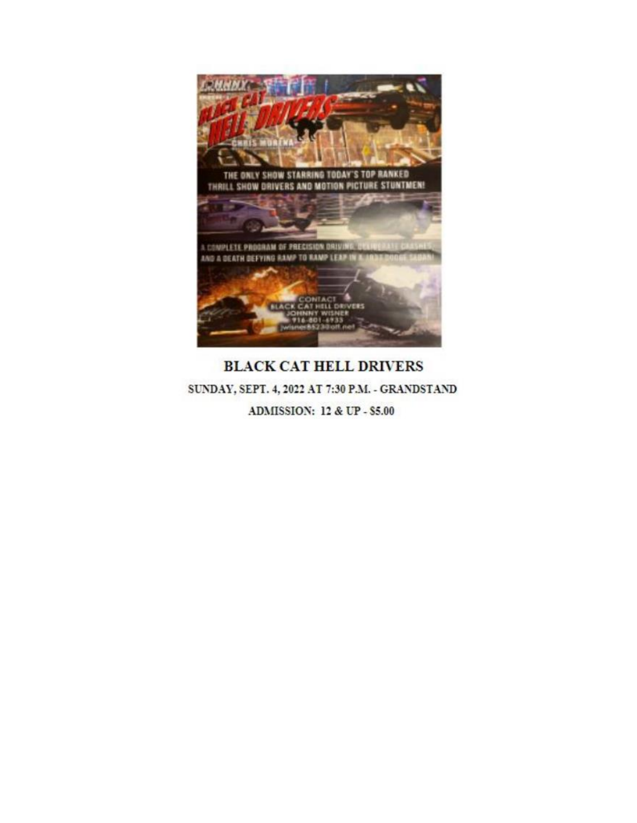

## **BLACK CAT HELL DRIVERS** SUNDAY, SEPT. 4, 2022 AT 7:30 P.M. - GRANDSTAND **ADMISSION: 12 & UP - \$5.00**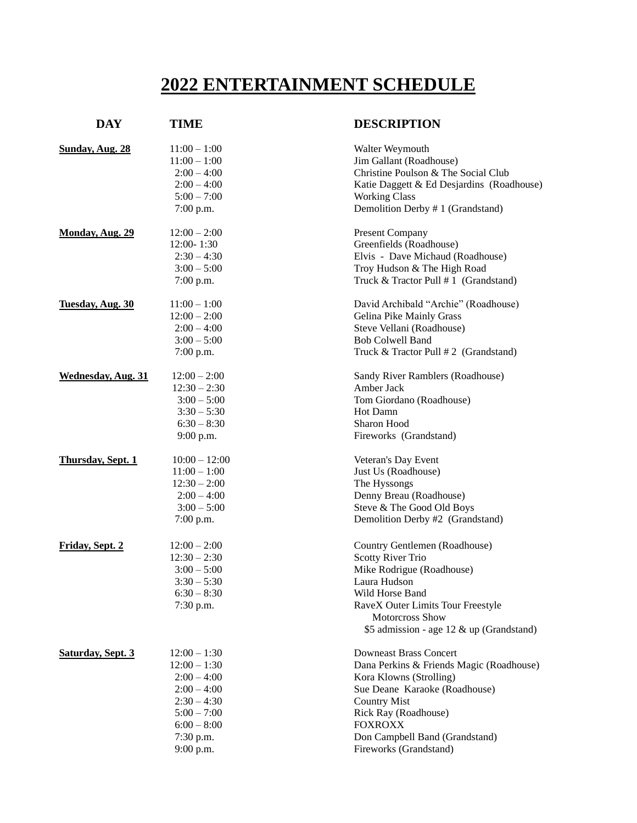## **2022 ENTERTAINMENT SCHEDULE**

| <b>DAY</b>                | <b>TIME</b>                                                                                                                                     | <b>DESCRIPTION</b>                                                                                                                                                                                                                                                 |
|---------------------------|-------------------------------------------------------------------------------------------------------------------------------------------------|--------------------------------------------------------------------------------------------------------------------------------------------------------------------------------------------------------------------------------------------------------------------|
| Sunday, Aug. 28           | $11:00 - 1:00$<br>$11:00 - 1:00$<br>$2:00 - 4:00$<br>$2:00 - 4:00$<br>$5:00 - 7:00$<br>$7:00$ p.m.                                              | Walter Weymouth<br>Jim Gallant (Roadhouse)<br>Christine Poulson & The Social Club<br>Katie Daggett & Ed Desjardins (Roadhouse)<br><b>Working Class</b><br>Demolition Derby # 1 (Grandstand)                                                                        |
| Monday, Aug. 29           | $12:00 - 2:00$<br>12:00-1:30<br>$2:30 - 4:30$<br>$3:00 - 5:00$<br>$7:00$ p.m.                                                                   | <b>Present Company</b><br>Greenfields (Roadhouse)<br>Elvis - Dave Michaud (Roadhouse)<br>Troy Hudson & The High Road<br>Truck & Tractor Pull # 1 (Grandstand)                                                                                                      |
| Tuesday, Aug. 30          | $11:00 - 1:00$<br>$12:00 - 2:00$<br>$2:00 - 4:00$<br>$3:00 - 5:00$<br>$7:00$ p.m.                                                               | David Archibald "Archie" (Roadhouse)<br>Gelina Pike Mainly Grass<br>Steve Vellani (Roadhouse)<br><b>Bob Colwell Band</b><br>Truck & Tractor Pull #2 (Grandstand)                                                                                                   |
| <b>Wednesday, Aug. 31</b> | $12:00 - 2:00$<br>$12:30 - 2:30$<br>$3:00 - 5:00$<br>$3:30 - 5:30$<br>$6:30 - 8:30$<br>9:00 p.m.                                                | Sandy River Ramblers (Roadhouse)<br>Amber Jack<br>Tom Giordano (Roadhouse)<br>Hot Damn<br>Sharon Hood<br>Fireworks (Grandstand)                                                                                                                                    |
| Thursday, Sept. 1         | $10:00 - 12:00$<br>$11:00 - 1:00$<br>$12:30 - 2:00$<br>$2:00 - 4:00$<br>$3:00 - 5:00$<br>7:00 p.m.                                              | Veteran's Day Event<br>Just Us (Roadhouse)<br>The Hyssongs<br>Denny Breau (Roadhouse)<br>Steve & The Good Old Boys<br>Demolition Derby #2 (Grandstand)                                                                                                             |
| Friday, Sept. 2           | $12:00 - 2:00$<br>$12:30 - 2:30$<br>$3:00 - 5:00$<br>$3:30 - 5:30$<br>$6:30 - 8:30$<br>7:30 p.m.                                                | Country Gentlemen (Roadhouse)<br><b>Scotty River Trio</b><br>Mike Rodrigue (Roadhouse)<br>Laura Hudson<br>Wild Horse Band<br>RaveX Outer Limits Tour Freestyle<br>Motorcross Show<br>\$5 admission - age 12 & up (Grandstand)                                      |
| <b>Saturday, Sept. 3</b>  | $12:00 - 1:30$<br>$12:00 - 1:30$<br>$2:00 - 4:00$<br>$2:00 - 4:00$<br>$2:30 - 4:30$<br>$5:00 - 7:00$<br>$6:00 - 8:00$<br>7:30 p.m.<br>9:00 p.m. | <b>Downeast Brass Concert</b><br>Dana Perkins & Friends Magic (Roadhouse)<br>Kora Klowns (Strolling)<br>Sue Deane Karaoke (Roadhouse)<br><b>Country Mist</b><br>Rick Ray (Roadhouse)<br><b>FOXROXX</b><br>Don Campbell Band (Grandstand)<br>Fireworks (Grandstand) |